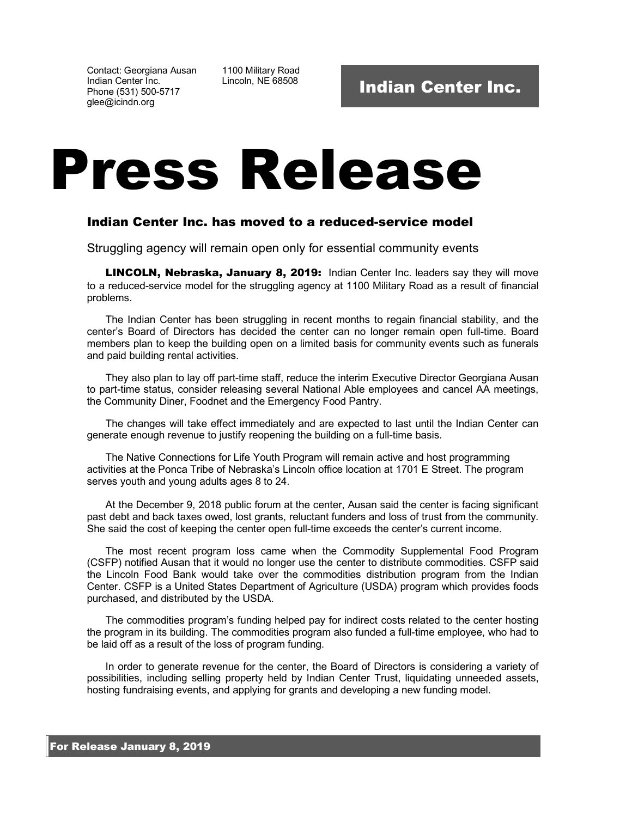Contact: Georgiana Ausan Indian Center Inc. Phone (531) 500-5717 glee@icindn.org

1100 Military Road<br>Lincoln, NE 68508

## Press Release

## Indian Center Inc. has moved to a reduced-service model

Struggling agency will remain open only for essential community events

LINCOLN, Nebraska, January 8, 2019: Indian Center Inc. leaders say they will move to a reduced-service model for the struggling agency at 1100 Military Road as a result of financial problems.

The Indian Center has been struggling in recent months to regain financial stability, and the center's Board of Directors has decided the center can no longer remain open full-time. Board members plan to keep the building open on a limited basis for community events such as funerals and paid building rental activities.

They also plan to lay off part-time staff, reduce the interim Executive Director Georgiana Ausan to part-time status, consider releasing several National Able employees and cancel AA meetings, the Community Diner, Foodnet and the Emergency Food Pantry.

The changes will take effect immediately and are expected to last until the Indian Center can generate enough revenue to justify reopening the building on a full-time basis.

The Native Connections for Life Youth Program will remain active and host programming activities at the Ponca Tribe of Nebraska's Lincoln office location at 1701 E Street. The program serves youth and young adults ages 8 to 24.

At the December 9, 2018 public forum at the center, Ausan said the center is facing significant past debt and back taxes owed, lost grants, reluctant funders and loss of trust from the community. She said the cost of keeping the center open full-time exceeds the center's current income.

The most recent program loss came when the Commodity Supplemental Food Program (CSFP) notified Ausan that it would no longer use the center to distribute commodities. CSFP said the Lincoln Food Bank would take over the commodities distribution program from the Indian Center. CSFP is a United States Department of Agriculture (USDA) program which provides foods purchased, and distributed by the USDA.

The commodities program's funding helped pay for indirect costs related to the center hosting the program in its building. The commodities program also funded a full-time employee, who had to be laid off as a result of the loss of program funding.

In order to generate revenue for the center, the Board of Directors is considering a variety of possibilities, including selling property held by Indian Center Trust, liquidating unneeded assets, hosting fundraising events, and applying for grants and developing a new funding model.